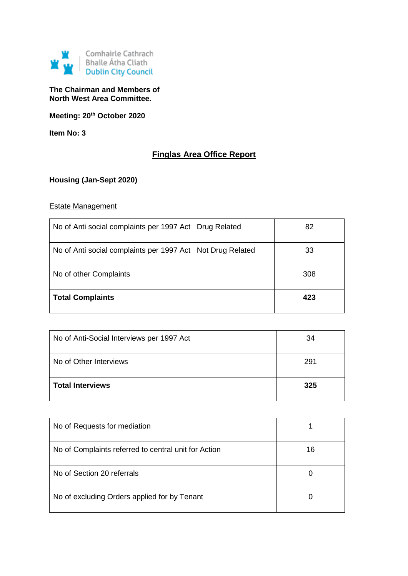

### **The Chairman and Members of North West Area Committee.**

**Meeting: 20th October 2020**

**Item No: 3**

# **Finglas Area Office Report**

## **Housing (Jan-Sept 2020)**

### Estate Management

| No of Anti social complaints per 1997 Act Drug Related     | 82  |
|------------------------------------------------------------|-----|
| No of Anti social complaints per 1997 Act Not Drug Related | 33  |
| No of other Complaints                                     | 308 |
| <b>Total Complaints</b>                                    | 423 |

| No of Anti-Social Interviews per 1997 Act | 34  |
|-------------------------------------------|-----|
| No of Other Interviews                    | 291 |
| <b>Total Interviews</b>                   | 325 |

| No of Requests for mediation                         |    |
|------------------------------------------------------|----|
| No of Complaints referred to central unit for Action | 16 |
| No of Section 20 referrals                           | O  |
| No of excluding Orders applied for by Tenant         |    |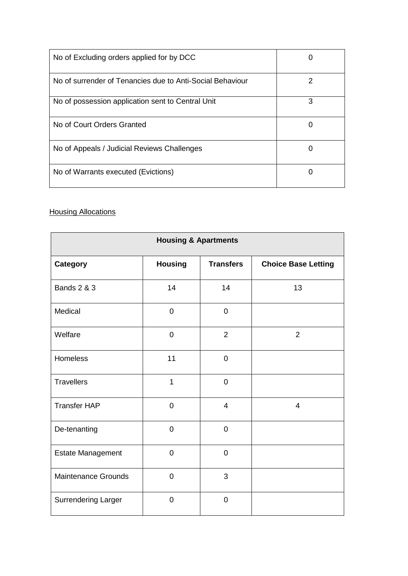| No of Excluding orders applied for by DCC                 |   |
|-----------------------------------------------------------|---|
| No of surrender of Tenancies due to Anti-Social Behaviour | 2 |
| No of possession application sent to Central Unit         | 3 |
| No of Court Orders Granted                                |   |
| No of Appeals / Judicial Reviews Challenges               | 0 |
| No of Warrants executed (Evictions)                       |   |

## **Housing Allocations**

| <b>Housing &amp; Apartments</b> |                |                  |                            |
|---------------------------------|----------------|------------------|----------------------------|
| <b>Category</b>                 | <b>Housing</b> | <b>Transfers</b> | <b>Choice Base Letting</b> |
| <b>Bands 2 &amp; 3</b>          | 14             | 14               | 13                         |
| Medical                         | $\overline{0}$ | $\mathbf 0$      |                            |
| Welfare                         | $\mathbf 0$    | $\overline{2}$   | $\overline{2}$             |
| <b>Homeless</b>                 | 11             | $\overline{0}$   |                            |
| <b>Travellers</b>               | 1              | $\mathbf 0$      |                            |
| <b>Transfer HAP</b>             | $\overline{0}$ | $\overline{4}$   | $\overline{4}$             |
| De-tenanting                    | $\mathbf 0$    | $\mathbf 0$      |                            |
| Estate Management               | $\overline{0}$ | $\mathbf 0$      |                            |
| <b>Maintenance Grounds</b>      | $\overline{0}$ | 3                |                            |
| <b>Surrendering Larger</b>      | $\overline{0}$ | $\mathbf 0$      |                            |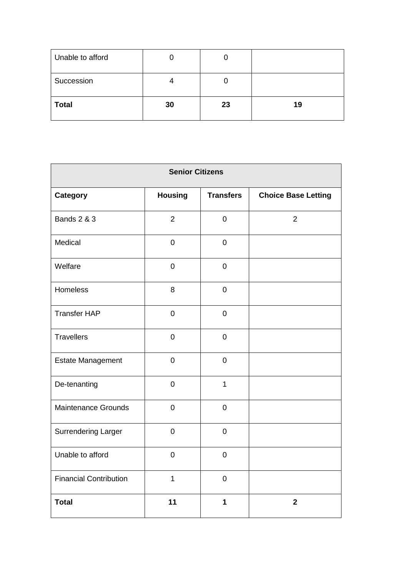| Unable to afford |    | L  |    |
|------------------|----|----|----|
| Succession       |    | U  |    |
| <b>Total</b>     | 30 | 23 | 19 |

| <b>Senior Citizens</b>        |                |                  |                            |
|-------------------------------|----------------|------------------|----------------------------|
| <b>Category</b>               | <b>Housing</b> | <b>Transfers</b> | <b>Choice Base Letting</b> |
| <b>Bands 2 &amp; 3</b>        | $\overline{2}$ | $\mathbf 0$      | $\overline{2}$             |
| Medical                       | $\overline{0}$ | $\mathbf 0$      |                            |
| Welfare                       | $\mathbf 0$    | $\mathbf 0$      |                            |
| Homeless                      | 8              | $\overline{0}$   |                            |
| <b>Transfer HAP</b>           | $\mathbf 0$    | $\mathbf 0$      |                            |
| <b>Travellers</b>             | $\overline{0}$ | $\overline{0}$   |                            |
| <b>Estate Management</b>      | $\mathbf 0$    | $\mathbf 0$      |                            |
| De-tenanting                  | $\overline{0}$ | $\mathbf{1}$     |                            |
| <b>Maintenance Grounds</b>    | $\mathbf 0$    | $\mathbf 0$      |                            |
| <b>Surrendering Larger</b>    | $\overline{0}$ | $\overline{0}$   |                            |
| Unable to afford              | $\overline{0}$ | $\mathbf 0$      |                            |
| <b>Financial Contribution</b> | $\mathbf{1}$   | $\overline{0}$   |                            |
| <b>Total</b>                  | 11             | $\mathbf 1$      | $\mathbf 2$                |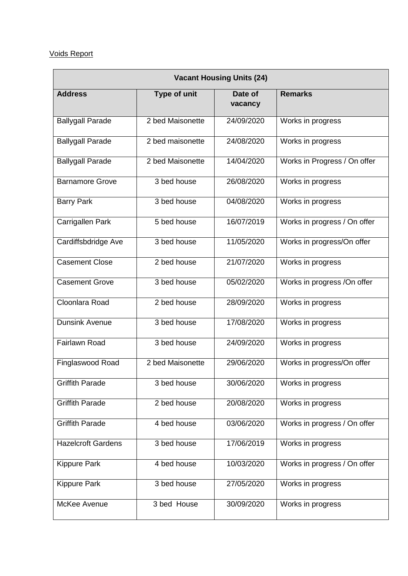# Voids Report

| <b>Vacant Housing Units (24)</b> |                  |                    |                              |
|----------------------------------|------------------|--------------------|------------------------------|
| <b>Address</b>                   | Type of unit     | Date of<br>vacancy | <b>Remarks</b>               |
| <b>Ballygall Parade</b>          | 2 bed Maisonette | 24/09/2020         | Works in progress            |
| <b>Ballygall Parade</b>          | 2 bed maisonette | 24/08/2020         | Works in progress            |
| <b>Ballygall Parade</b>          | 2 bed Maisonette | 14/04/2020         | Works in Progress / On offer |
| <b>Barnamore Grove</b>           | 3 bed house      | 26/08/2020         | Works in progress            |
| <b>Barry Park</b>                | 3 bed house      | 04/08/2020         | Works in progress            |
| Carrigallen Park                 | 5 bed house      | 16/07/2019         | Works in progress / On offer |
| Cardiffsbdridge Ave              | 3 bed house      | 11/05/2020         | Works in progress/On offer   |
| <b>Casement Close</b>            | 2 bed house      | 21/07/2020         | Works in progress            |
| <b>Casement Grove</b>            | 3 bed house      | 05/02/2020         | Works in progress /On offer  |
| Cloonlara Road                   | 2 bed house      | 28/09/2020         | Works in progress            |
| <b>Dunsink Avenue</b>            | 3 bed house      | 17/08/2020         | Works in progress            |
| <b>Fairlawn Road</b>             | 3 bed house      | 24/09/2020         | Works in progress            |
| Finglaswood Road                 | 2 bed Maisonette | 29/06/2020         | Works in progress/On offer   |
| <b>Griffith Parade</b>           | 3 bed house      | 30/06/2020         | Works in progress            |
| <b>Griffith Parade</b>           | 2 bed house      | 20/08/2020         | Works in progress            |
| <b>Griffith Parade</b>           | 4 bed house      | 03/06/2020         | Works in progress / On offer |
| <b>Hazelcroft Gardens</b>        | 3 bed house      | 17/06/2019         | Works in progress            |
| <b>Kippure Park</b>              | 4 bed house      | 10/03/2020         | Works in progress / On offer |
| <b>Kippure Park</b>              | 3 bed house      | 27/05/2020         | Works in progress            |
| McKee Avenue                     | 3 bed House      | 30/09/2020         | Works in progress            |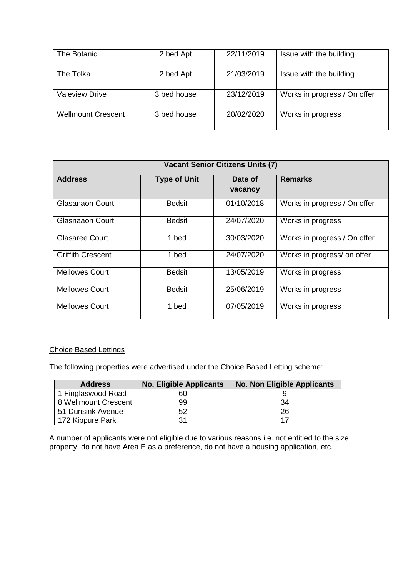| The Botanic               | 2 bed Apt   | 22/11/2019 | Issue with the building      |
|---------------------------|-------------|------------|------------------------------|
| The Tolka                 | 2 bed Apt   | 21/03/2019 | Issue with the building      |
| <b>Valeview Drive</b>     | 3 bed house | 23/12/2019 | Works in progress / On offer |
| <b>Wellmount Crescent</b> | 3 bed house | 20/02/2020 | Works in progress            |

| <b>Vacant Senior Citizens Units (7)</b> |                     |                    |                              |
|-----------------------------------------|---------------------|--------------------|------------------------------|
| <b>Address</b>                          | <b>Type of Unit</b> | Date of<br>vacancy | <b>Remarks</b>               |
| Glasanaon Court                         | <b>Bedsit</b>       | 01/10/2018         | Works in progress / On offer |
| Glasnaaon Court                         | <b>Bedsit</b>       | 24/07/2020         | Works in progress            |
| <b>Glasaree Court</b>                   | 1 bed               | 30/03/2020         | Works in progress / On offer |
| <b>Griffith Crescent</b>                | 1 bed               | 24/07/2020         | Works in progress/ on offer  |
| <b>Mellowes Court</b>                   | <b>Bedsit</b>       | 13/05/2019         | Works in progress            |
| <b>Mellowes Court</b>                   | <b>Bedsit</b>       | 25/06/2019         | Works in progress            |
| <b>Mellowes Court</b>                   | 1 bed               | 07/05/2019         | Works in progress            |

#### Choice Based Lettings

The following properties were advertised under the Choice Based Letting scheme:

| <b>Address</b>       | <b>No. Eligible Applicants</b> | <b>No. Non Eligible Applicants</b> |
|----------------------|--------------------------------|------------------------------------|
| 1 Finglaswood Road   |                                |                                    |
| 8 Wellmount Crescent | 99                             | 34                                 |
| 51 Dunsink Avenue    |                                | 26                                 |
| 172 Kippure Park     |                                |                                    |

A number of applicants were not eligible due to various reasons i.e. not entitled to the size property, do not have Area E as a preference, do not have a housing application, etc.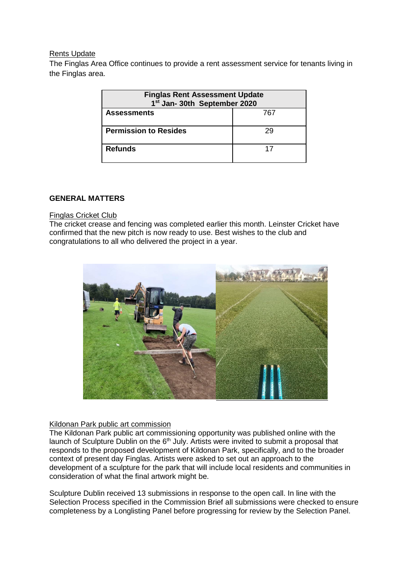#### Rents Update

The Finglas Area Office continues to provide a rent assessment service for tenants living in the Finglas area.

| <b>Finglas Rent Assessment Update</b><br>1 <sup>st</sup> Jan- 30th September 2020 |    |  |  |
|-----------------------------------------------------------------------------------|----|--|--|
| <b>Assessments</b><br>767                                                         |    |  |  |
| <b>Permission to Resides</b>                                                      | 29 |  |  |
| <b>Refunds</b>                                                                    | 17 |  |  |

#### **GENERAL MATTERS**

#### Finglas Cricket Club

The cricket crease and fencing was completed earlier this month. Leinster Cricket have confirmed that the new pitch is now ready to use. Best wishes to the club and congratulations to all who delivered the project in a year.



#### Kildonan Park public art commission

The Kildonan Park public art commissioning opportunity was published online with the launch of Sculpture Dublin on the  $6<sup>th</sup>$  July. Artists were invited to submit a proposal that responds to the proposed development of Kildonan Park, specifically, and to the broader context of present day Finglas. Artists were asked to set out an approach to the development of a sculpture for the park that will include local residents and communities in consideration of what the final artwork might be.

Sculpture Dublin received 13 submissions in response to the open call. In line with the Selection Process specified in the Commission Brief all submissions were checked to ensure completeness by a Longlisting Panel before progressing for review by the Selection Panel.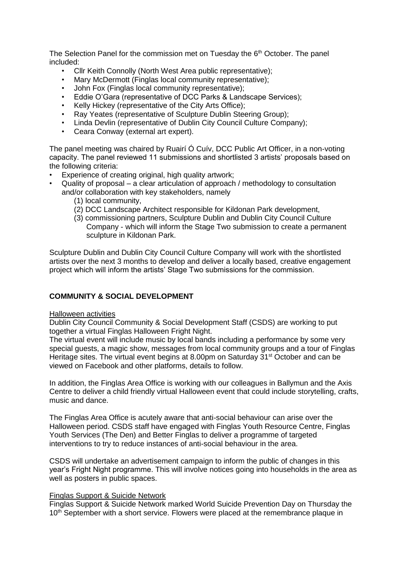The Selection Panel for the commission met on Tuesday the  $6<sup>th</sup>$  October. The panel included:

- Cllr Keith Connolly (North West Area public representative);
- Mary McDermott (Finglas local community representative);
- John Fox (Finglas local community representative);
- Eddie O'Gara (representative of DCC Parks & Landscape Services);
- Kelly Hickey (representative of the City Arts Office);
- Ray Yeates (representative of Sculpture Dublin Steering Group);
- Linda Devlin (representative of Dublin City Council Culture Company);
- Ceara Conway (external art expert).

The panel meeting was chaired by Ruairí Ó Cuív, DCC Public Art Officer, in a non-voting capacity. The panel reviewed 11 submissions and shortlisted 3 artists' proposals based on the following criteria:

- Experience of creating original, high quality artwork;
- Quality of proposal a clear articulation of approach / methodology to consultation and/or collaboration with key stakeholders, namely
	- (1) local community,
	- (2) DCC Landscape Architect responsible for Kildonan Park development,
	- (3) commissioning partners, Sculpture Dublin and Dublin City Council Culture Company - which will inform the Stage Two submission to create a permanent sculpture in Kildonan Park.

Sculpture Dublin and Dublin City Council Culture Company will work with the shortlisted artists over the next 3 months to develop and deliver a locally based, creative engagement project which will inform the artists' Stage Two submissions for the commission.

#### **COMMUNITY & SOCIAL DEVELOPMENT**

#### Halloween activities

Dublin City Council Community & Social Development Staff (CSDS) are working to put together a virtual Finglas Halloween Fright Night.

The virtual event will include music by local bands including a performance by some very special guests, a magic show, messages from local community groups and a tour of Finglas Heritage sites. The virtual event begins at 8.00pm on Saturday 31<sup>st</sup> October and can be viewed on Facebook and other platforms, details to follow.

In addition, the Finglas Area Office is working with our colleagues in Ballymun and the Axis Centre to deliver a child friendly virtual Halloween event that could include storytelling, crafts, music and dance.

The Finglas Area Office is acutely aware that anti-social behaviour can arise over the Halloween period. CSDS staff have engaged with Finglas Youth Resource Centre, Finglas Youth Services (The Den) and Better Finglas to deliver a programme of targeted interventions to try to reduce instances of anti-social behaviour in the area.

CSDS will undertake an advertisement campaign to inform the public of changes in this year's Fright Night programme. This will involve notices going into households in the area as well as posters in public spaces.

#### Finglas Support & Suicide Network

Finglas Support & Suicide Network marked World Suicide Prevention Day on Thursday the 10<sup>th</sup> September with a short service. Flowers were placed at the remembrance plaque in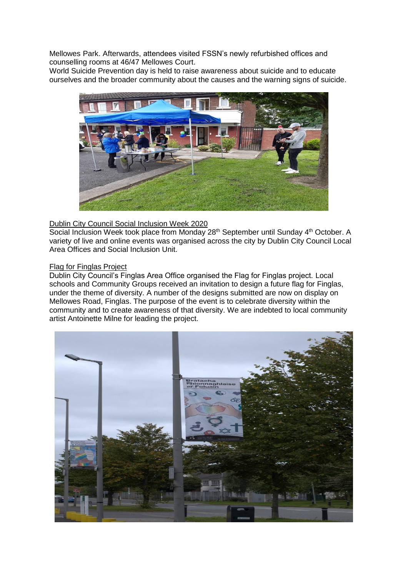Mellowes Park. Afterwards, attendees visited FSSN's newly refurbished offices and counselling rooms at 46/47 Mellowes Court.

World Suicide Prevention day is held to raise awareness about suicide and to educate ourselves and the broader community about the causes and the warning signs of suicide.



#### Dublin City Council Social Inclusion Week 2020

Social Inclusion Week took place from Monday 28<sup>th</sup> September until Sunday 4<sup>th</sup> October. A variety of live and online events was organised across the city by Dublin City Council Local Area Offices and Social Inclusion Unit.

#### Flag for Finglas Project

Dublin City Council's Finglas Area Office organised the Flag for Finglas project. Local schools and Community Groups received an invitation to design a future flag for Finglas, under the theme of diversity. A number of the designs submitted are now on display on Mellowes Road, Finglas. The purpose of the event is to celebrate diversity within the community and to create awareness of that diversity. We are indebted to local community artist Antoinette Milne for leading the project.